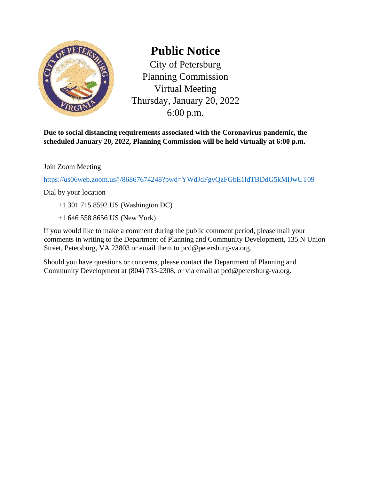

## **Public Notice**

City of Petersburg Planning Commission Virtual Meeting Thursday, January 20, 2022 6:00 p.m.

**Due to social distancing requirements associated with the Coronavirus pandemic, the scheduled January 20, 2022, Planning Commission will be held virtually at 6:00 p.m.** 

Join Zoom Meeting

<https://us06web.zoom.us/j/86867674248?pwd=YWdJdFgvQzFGbE1ldTBDdG5kMlJwUT09>

Dial by your location

- +1 301 715 8592 US (Washington DC)
- +1 646 558 8656 US (New York)

If you would like to make a comment during the public comment period, please mail your comments in writing to the Department of Planning and Community Development, 135 N Union Street, Petersburg, VA 23803 or email them to pcd@petersburg-va.org.

Should you have questions or concerns, please contact the Department of Planning and Community Development at (804) 733-2308, or via email at pcd@petersburg-va.org.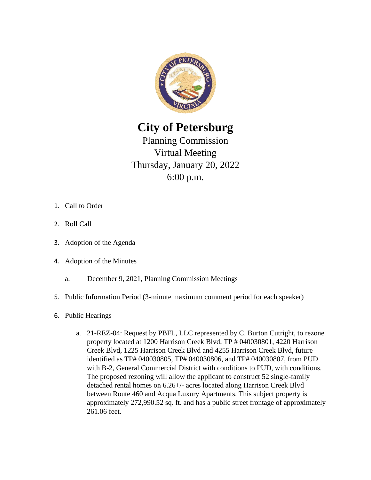

**City of Petersburg** 

Planning Commission Virtual Meeting Thursday, January 20, 2022 6:00 p.m.

- 1. Call to Order
- 2. Roll Call
- 3. Adoption of the Agenda
- 4. Adoption of the Minutes
	- a. December 9, 2021, Planning Commission Meetings
- 5. Public Information Period (3-minute maximum comment period for each speaker)
- 6. Public Hearings
	- a. 21-REZ-04: Request by PBFL, LLC represented by C. Burton Cutright, to rezone property located at 1200 Harrison Creek Blvd, TP # 040030801, 4220 Harrison Creek Blvd, 1225 Harrison Creek Blvd and 4255 Harrison Creek Blvd, future identified as TP# 040030805, TP# 040030806, and TP# 040030807, from PUD with B-2, General Commercial District with conditions to PUD, with conditions. The proposed rezoning will allow the applicant to construct 52 single-family detached rental homes on 6.26+/- acres located along Harrison Creek Blvd between Route 460 and Acqua Luxury Apartments. This subject property is approximately 272,990.52 sq. ft. and has a public street frontage of approximately 261.06 feet.